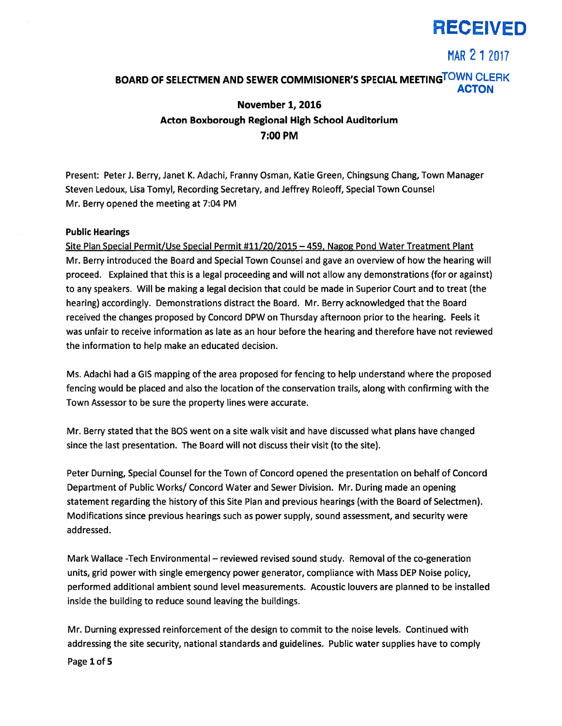

MAR 2 1 2017

## BOARD OF SELECTMEN AND SEWER COMMISIONER'S SPECIAL MEETINGTOWN CLERK ACTON

## November 1, 2016 Acton Boxborough Regional High School Auditorium 7:00 PM

Present: Peter J. Berry, Janet K. Adachi, Franny Osman, Katie Green, Chingsung Chang, Town Manager Steven Ledoux, Lisa Tomyl, Recording Secretary, and Jeffrey Roleoff, Special Town Counsel Mr. Berry opened the meeting at 7:04 PM

### Public Hearings

Site Plan Special Permit/Use Special Permit #11/20/2015 —459, Nagog Pond Water Treatment Plant Mr. Berry introduced the Board and Special Town Counsel and gave an overview of how the hearing will proceed. Explained that this is <sup>a</sup> legal proceeding and will not allow any demonstrations (for or against) to any speakers. Will be making <sup>a</sup> legal decision that could be made in Superior Court and to treat (the hearing) accordingly. Demonstrations distract the Board. Mr. Berry acknowledged that the Board received the changes proposed by Concord DPW on Thursday afternoon prior to the hearing. Feels it was unfair to receive information as late as an hour before the hearing and therefore have not reviewed the information to help make an educated decision.

Ms. Adachi had <sup>a</sup> GIS mapping of the area proposed for fencing to help understand where the proposed fencing would be placed and also the location of the conservation trails, along with confirming with the Town Assessor to be sure the property lines were accurate.

Mr. Berry stated that the BOS went on <sup>a</sup> site walk visit and have discussed what plans have changed since the last presentation. The Board will not discuss their visit (to the site).

Peter Durning, Special Counsel for the Town of Concord opened the presentation on behalf of Concord Department of Public Works/ Concord Water and Sewer Division. Mr. During made an opening statement regarding the history of this Site Plan and previous hearings (with the Board of Selectmen). Modifications since previous hearings such as power supply, sound assessment, and security were addressed.

Mark Wallace -Tech Environmental — reviewed revised sound study. Removal of the co-generation units, grid power with single emergency power generator, compliance with Mass DEP Noise policy, performed additional ambient sound level measurements. Acoustic louvers are planned to be installed inside the building to reduce sound leaving the buildings.

Mr. Durning expressed reinforcement of the design to commit to the noise levels. Continued with addressing the site security, national standards and guidelines. Public water supplies have to comply

Page 1 of 5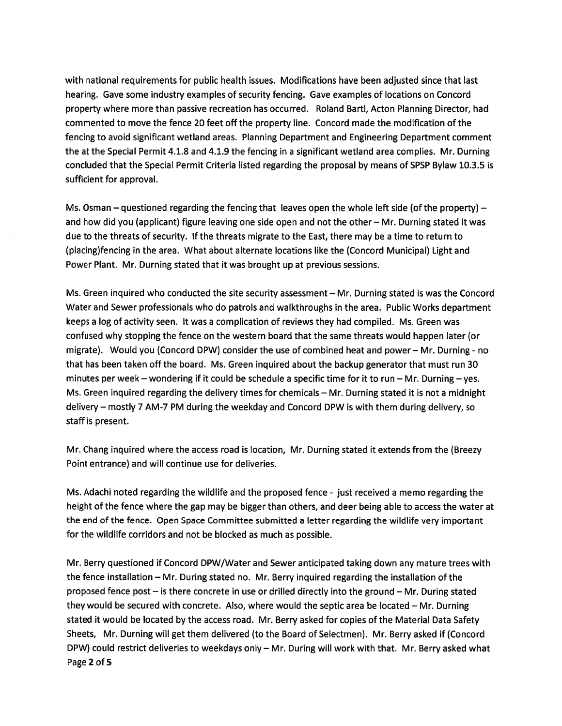with national requirements for public health issues. Modifications have been adjusted since that last hearing. Gave some industry examples of security fencing. Gave examples of locations on Concord property where more than passive recreation has occurred. Roland Bartl, Acton Planning Director, had commented to move the fence 20 feet off the property line. Concord made the modification of the fencing to avoid significant wetland areas. Planning Department and Engineering Department comment the at the Special Permit 4.1.8 and 4.1.9 the fencing in <sup>a</sup> significant wetland area complies. Mr. Durning concluded that the Special Permit Criteria listed regarding the proposal by means of SPSP Bylaw 10.3.5 is sufficient for approval.

Ms. Osman — questioned regarding the fencing that leaves open the whole left side (of the property) and how did you (applicant) figure leaving one side open and not the other — Mr. Durning stated it was due to the threats of security. If the threats migrate to the East, there may be a time to return to (placing)fencing in the area. What about alternate locations like the (Concord Municipal) Light and Power Plant. Mr. Durning stated that it was brought up at previous sessions.

Ms. Green inquired who conducted the site security assessment — Mr. Durning stated is was the Concord Water and Sewer professionals who do patrols and walkthroughs in the area. Public Works department keeps <sup>a</sup> log of activity seen. It was <sup>a</sup> complication of reviews they had compiled. Ms. Green was confused why stopping the fence on the western board that the same threats would happen later (or migrate). Would you (Concord DPW) consider the use of combined heat and power — Mr. Durning - no that has been taken off the board. Ms. Green inquired about the backup generator that must run 30 minutes per week — wondering if it could be schedule <sup>a</sup> specific time for it to run — Mr. Durning — yes. Ms. Green inquired regarding the delivery times for chemicals — Mr. Durning stated it is not <sup>a</sup> midnight delivery — mostly 7 AM-7 PM during the weekday and Concord DPW is with them during delivery, so staff is present.

Mr. Chang inquired where the access road is location, Mr. Durning stated it extends from the (Breezy Point entrance) and will continue use for deliveries.

Ms. Adachi noted regarding the wildlife and the proposed fence - just received <sup>a</sup> memo regarding the height of the fence where the gap may be bigger than others, and deer being able to access the water at the end of the fence. Open Space Committee submitted <sup>a</sup> letter regarding the wildlife very important for the wildlife corridors and not be blocked as much as possible.

Mr. Berry questioned if Concord DPW/Water and Sewer anticipated taking down any mature trees with the fence installation — Mr. During stated no. Mr. Berry inquired regarding the installation of the proposed fence pos<sup>t</sup> — is there concrete in use or drilled directly into the ground — Mr. During stated they would be secured with concrete. Also, where would the septic area be located — Mr. Durning stated it would be located by the access road. Mr. Berry asked for copies of the Material Data Safety Sheets, Mr. Durning will ge<sup>t</sup> them delivered (to the Board of Selectmen). Mr. Berry asked if (Concord DPW) could restrict deliveries to weekdays only — Mr. During will work with that. Mr. Berry asked what Page 2 of 5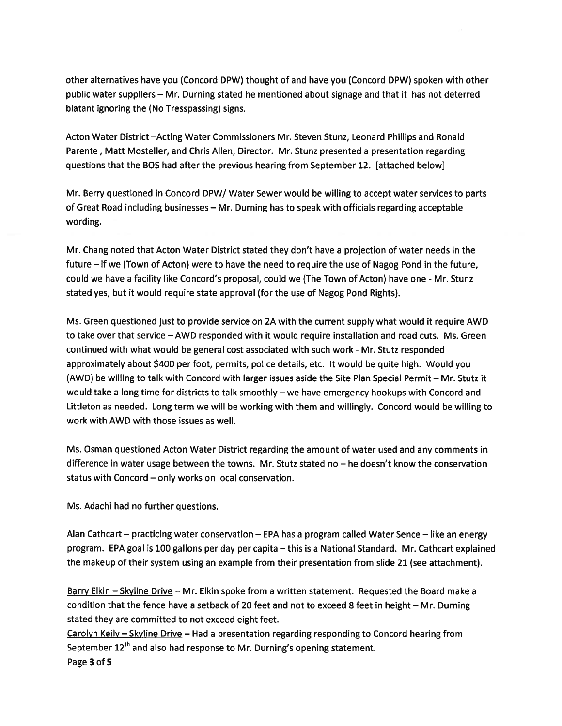other alternatives have you (Concord DPW) thought of and have you (Concord DPW) spoken with other public water suppliers — Mr. Durning stated he mentioned about signage and that it has not deterred blatant ignoring the (No Tresspassing) signs.

Acton Water District —Acting Water Commissioners Mr. Steven Stunz, Leonard Phillips and Ronald Parente, Matt Mosteller, and Chris Allen, Director. Mr. Stunz presented <sup>a</sup> presentation regarding questions that the BOS had after the previous hearing from September 12. [attached belowJ

Mr. Berry questioned in Concord DPW/ Water Sewer would be willing to accep<sup>t</sup> water services to parts of Great Road including businesses — Mr. Durning has to speak with officials regarding acceptable wording.

Mr. Chang noted that Acton Water District stated they don't have <sup>a</sup> projection of water needs in the future — if we (Town of Acton) were to have the need to require the use of Nagog Pond in the future, could we have <sup>a</sup> facility like Concord's proposal, could we (The Town of Acton) have one - Mr. Stunz stated yes, but it would require state approval (for the use of Nagog Pond Rights).

Ms. Green questioned just to provide service on 2A with the current supply what would it require AWD to take over that service — AWD responded with it would require installation and road cuts. Ms. Green continued with what would be general cost associated with such work -Mr. Stutz responded approximately about \$400 per foot, permits, police details, etc. It would be quite high. Would you (AWD) be willing to talk with Concord with larger issues aside the Site Plan Special Permit — Mr. Stutz it would take <sup>a</sup> long time for districts to talk smoothly — we have emergency hookups with Concord and Littleton as needed. Long term we will be working with them and willingly. Concord would be willing to work with AWD with those issues as well.

Ms. Osman questioned Acton Water District regarding the amount of water used and any comments in difference in water usage between the towns. Mr. Stutz stated no — he doesn't know the conservation status with Concord — only works on local conservation.

Ms. Adachi had no further questions.

Alan Cathcart — practicing water conservation — EPA has <sup>a</sup> program called Water Sence — like an energy program. EPA goal is 100 gallons per day per capita — this is <sup>a</sup> National Standard. Mr. Cathcart explained the makeup of their system using an example from their presentation from slide 21 (see attachment).

Barry Elkin – Skyline Drive – Mr. Elkin spoke from a written statement. Requested the Board make a condition that the fence have <sup>a</sup> setback of 20 feet and not to exceed 8 feet in height — Mr. Durning stated they are committed to not exceed eight feet.

Carolyn Keily — Skyline Drive — Had <sup>a</sup> presentation regarding responding to Concord hearing from September 12<sup>th</sup> and also had response to Mr. Durning's opening statement. Page 3 of 5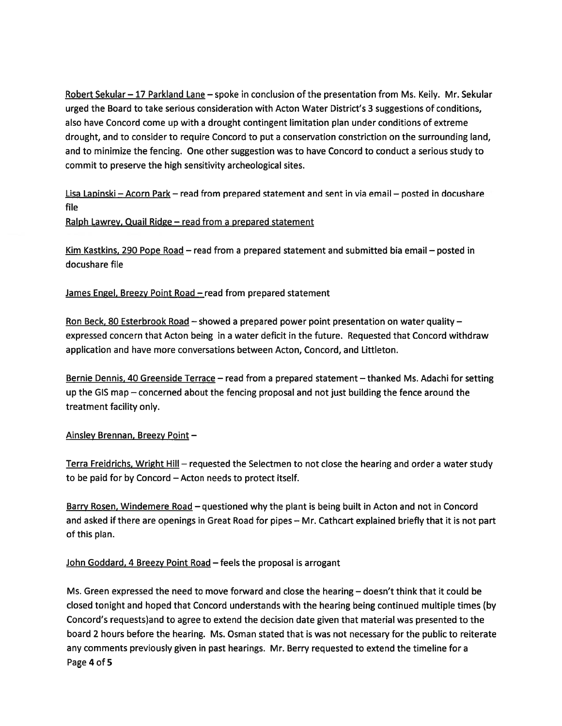Robert Sekular — 17 Parkland Lane — spoke in conclusion of the presentation from Ms. Kelly. Mr. Sekular urged the Board to take serious consideration with Acton Water District's 3 suggestions of conditions, also have Concord come up with <sup>a</sup> drought contingent limitation plan under conditions of extreme drought, and to consider to require Concord to pu<sup>t</sup> <sup>a</sup> conservation constriction on the surrounding land, and to minimize the fencing. One other suggestion was to have Concord to conduct <sup>a</sup> serious study to commit to preserve the high sensitivity archeological sites.

Lisa Lapinski — Acorn Park — read from prepared statement and sent in via email — posted in docushare file

Ralph Lawrey, Quail Ridge — read from <sup>a</sup> prepared statement

Kim Kastkins, 290 Pope Road — read from <sup>a</sup> prepared statement and submitted bia email — posted in docushare file

James Engel, Breezy Point Road - read from prepared statement

Ron Beck, 80 Esterbrook Road – showed a prepared power point presentation on water quality – expressed concern that Acton being in <sup>a</sup> water deficit in the future. Requested that Concord withdraw application and have more conversations between Acton, Concord, and Littleton.

Bernie Dennis, 40 Greenside Terrace - read from a prepared statement - thanked Ms. Adachi for setting up the GIS map — concerned about the fencing proposal and not just building the fence around the treatment facility only.

## Ainsley Brennan, Breezy Point —

Terra Freidrichs, Wright Hill – requested the Selectmen to not close the hearing and order a water study to be paid for by Concord — Acton needs to protect itself.

Barry Rosen, Windemere Road – questioned why the plant is being built in Acton and not in Concord and asked if there are openings in Great Road for pipes — Mr. Cathcart explained briefly that it is not par<sup>t</sup> of this plan.

## John Goddard, 4 Breezy Point Road — feels the proposal is arrogan<sup>t</sup>

Ms. Green expressed the need to move forward and close the hearing — doesn't think that it could be closed tonight and hoped that Concord understands with the hearing being continued multiple times (by Concord's requests)and to agree to extend the decision date given that material was presented to the board 2 hours before the hearing. Ms. Osman stated that is was not necessary for the public to reiterate any comments previously given in pas<sup>t</sup> hearings. Mr. Berry requested to extend the timeline for <sup>a</sup> Page 4 of 5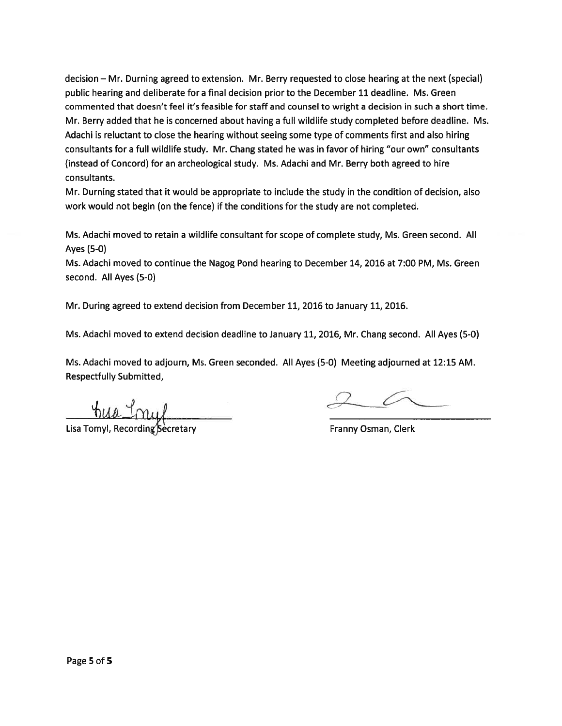decision — Mr. Durning agreed to extension. Mr. Berry requested to close hearing at the next (special) public hearing and deliberate for <sup>a</sup> final decision prior to the December11 deadline. Ms. Green commented that doesn't feel it's feasible for staff and counsel to wright <sup>a</sup> decision in such <sup>a</sup> short time. Mr. Berry added that he is concerned about having <sup>a</sup> full wildlife study completed before deadline. Ms. Adachi is reluctant to close the hearing without seeing some type of comments first and also hiring consultants for <sup>a</sup> full wildlife study. Mr. Chang stated he was in favor of hiring "our own" consultants (instead of Concord) for an archeological study. Ms. Adachi and Mr. Berry both agreed to hire consultants.

Mr. Durning stated that it would be appropriate to include the study in the condition of decision, also work would not begin (on the fence) if the conditions for the study are not completed.

Ms. Adachi moved to retain <sup>a</sup> wildlife consultant for scope of complete study, Ms. Green second. All Ayes (5-0)

Ms. Adachi moved to continue the Nagog Pond hearing to December 14, 2016 at 7:00 PM, Ms. Green second. All Ayes (5-0)

Mr. During agreed to extend decision from December 11, 2016 to January 11, 2016.

Ms. Adachi moved to extend decision deadline to January 11, 2016, Mr. Chang second. All Ayes (5-0)

Ms. Adachi moved to adjourn, Ms. Green seconded. All Ayes (5-0) Meeting adjourned at 12:15 AM. Respectfully Submitted,

Lisa Tomyl, Recording Becretary **Franny Osman, Clerk** Franny Osman, Clerk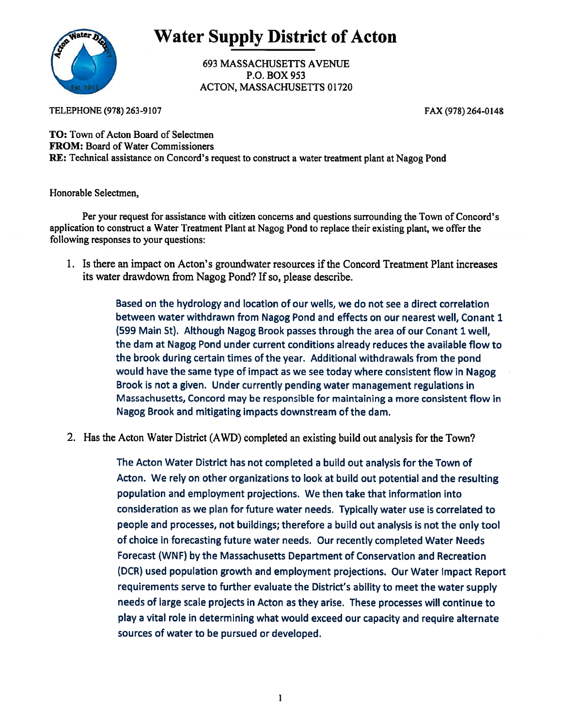

Water Supply\_District of Acton

693 MASSACHUSETTS AVENUE P.O. BOX 953 ACTON, MASSACHUSETTS 01720

TELEPHONE (978) 263-9107

FAX (978) 264-0148

TO: Town of Acton Board of Selectmen FROM: Board of Water Commissioners RE: Technical assistance on Concord's reques<sup>t</sup> to construct <sup>a</sup> water treatment <sup>p</sup>lant at Nagog Pond

Honorable Selectmen,

Per your reques<sup>t</sup> for assistance with citizen concerns and questions surrounding the Town of Concord's application to construct <sup>a</sup> Water Treatment Plant at Nagog Pond to replace their existing <sup>p</sup>lant, we offer the following responses to your questions:

1. Is there an impact on Acton's groundwater resources if the Concord Treatment Plant increases its water drawdown from Nagog Pond? If so, please describe.

> Based on the hydrology and location of our wells, we do not see <sup>a</sup> direct correlation between water withdrawn from Nagog Pond and effects on our nearest well, Conant 1 (599 Main St). Although Nagog Brook passes through the area of our Conant 1 well, the dam at Nagog Pond under current conditions already reduces the available flow to the brook during certain times of the year. Additional withdrawals from the pond would have the same type of impact as we see today where consistent flow in Nagog Brook is not <sup>a</sup> <sup>g</sup>iven. Under currently pending water managemen<sup>t</sup> regulations in Massachusetts, Concord may be responsible for maintaining <sup>a</sup> more consistent flow in Nagog Brook and mitigating impacts downstream of the dam.

2. Has the Acton Water District (AWD) completed an existing build out analysis for the Town?

The Acton Water District has not completed <sup>a</sup> build out analysis for the Town of Acton. We rely on other organizations to look at build out potential and the resulting population and employment projections. We then take that information into consideration as we plan for future water needs. Typically water use is correlated to people and processes, not buildings; therefore <sup>a</sup> build out analysis is not the only tool of choice in forecasting future water needs. Our recently completed Water Needs Forecast (WNF) by the Massachusetts Department of Conservation and Recreation (DCR) used population growth and employment projections. Our Water Impact Report requirements serve to further evaluate the District's ability to meet the water supply needs of large scale projects in Acton as they arise. These processes will continue to <sup>p</sup>lay <sup>a</sup> vital role in determining what would exceed our capacity and require alternate sources of water to be pursued or developed.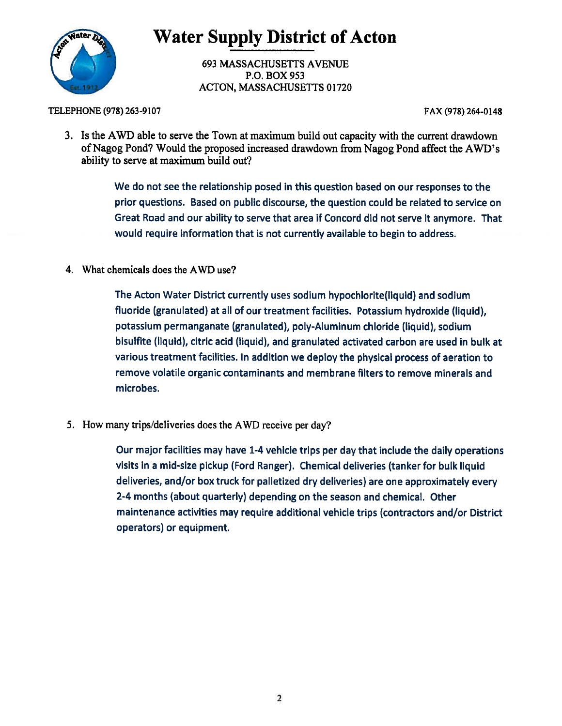

Water Supply District of Acton

693 MASSACHUSETTS AVENUE P.O. BOX 953 ACTON, MASSACHUSETTS 01720

TELEPHONE (978) 263-9107

FAX (978) 264-0148

3. Is the AWD able to serve the Town at maximum build out capacity with the current drawdown of Nagog Pond? Would the proposed increased drawdown from Nagog Pond affect the AWD's ability to serve at maximum build out?

> We do not see the relationship posed in this question based on our responses to the prior questions. Based on public discourse, the question could be related to service on Great Road and our ability to serve that area if Concord did not serve it anymore. That would require information that is not currently available to begin to address.

4. What chemicals does the AWD use?

The Acton Water District currently uses sodium hypochlorite(liquid) and sodium fluoride (granulated) at all of our treatment facilities. Potassium hydroxide (liquid), potassium permanganate (granulated), poly-Aluminum chloride (liquid), sodium bisulfite (liquid), citric acid (liquid), and granulated activated carbon are used in bulk at various treatment facilities. In addition we deploy the <sup>p</sup>hysical process of aeration to remove volatile organic contaminants and membrane filters to remove minerals and microbes.

5. How many trips/deliveries does the AWD receive per day?

Our major facilities may have 1-4 vehicle trips per day that include the daily operations visits in <sup>a</sup> mid-size <sup>p</sup>ickup (Ford Ranger). Chemical deliveries (tanker for bulk liquid deliveries, and/or box truck for palletized dry deliveries) are one approximately every 2-4 months (about quarterly) depending on the season and chemical. Other maintenance activities may require additional vehicle trips (contractors and/or District operators) or equipment.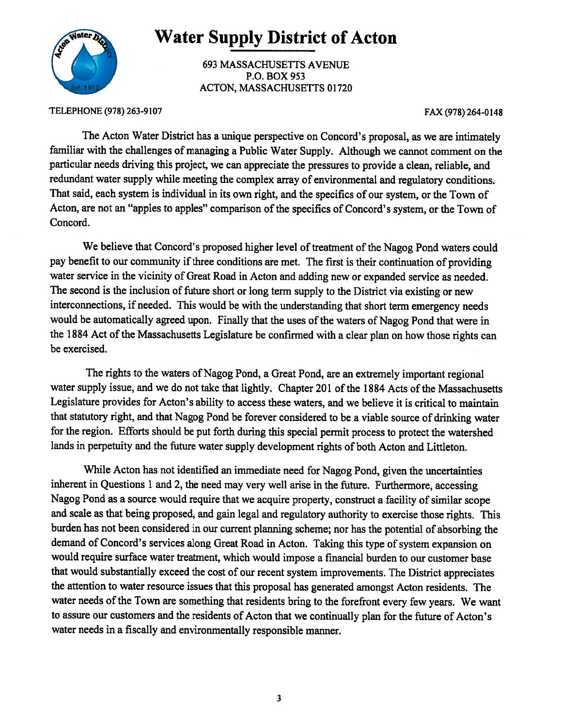

## Water Supply District of Acton

693 MASSACHUSETTS AVENUE P.O. BOX 953 ACTON, MASSACHUSETTS 01720

TELEPHONE (97\$) 263-9107

FAX (978) 264-0148

The Acton Water District has <sup>a</sup> unique perspective on Concord's proposal, as we are intimately familiar with the challenges of managing <sup>a</sup> Public Water Supply. Although we cannot comment on the particular needs driving this project, we can appreciate the pressures to provide <sup>a</sup> clean, reliable, and redundant water supply while meeting the complex array of environmental and regulatory conditions. That said, each system is individual in its own right, and the specifics of our system, or the Town of Acton, are not an "apples to apples" comparison of the specifics of Concord's system, or the Town of Concord.

We believe that Concord's proposed higher level of treatment of the Nagog Pond waters could pay benefit to our community if three conditions are met. The first is their continuation of providing water service in the vicinity of Great Road in Acton and adding new or expanded service as needed. The second is the inclusion of future short or long term supply to the District via existing or new interconnections, if needed. This would be with the understanding that short term emergency needs would be automatically agreed upon. Finally that the uses of the waters of Nagog Pond that were in the 1884 Act of the Massachusetts Legislature be confirmed with a clear plan on how those rights can be exercised.

The rights to the waters of Nagog Pond, <sup>a</sup> Great Pond, are an extremely important regional water supply issue, and we do not take that lightly. Chapter 201 of the 1884 Acts of the Massachusetts Legislature provides for Acton's ability to access these waters, and we believe it is critical to maintain that statutory right, and that Nagog Pond be forever considered to be <sup>a</sup> viable source of drinking water for the region. Efforts should be pu<sup>t</sup> forth during this special permit process to protect the watershed lands in perpetuity and the future water supply development rights of both Acton and Littleton.

While Acton has not identified an immediate need for Nagog Pond, <sup>g</sup>iven the uncertainties inherent in Questions 1 and 2, the need may very well arise in the future. Furthermore, accessing Nagog Pond as <sup>a</sup> source would require that we acquire property, construct <sup>a</sup> facility of similar scope and scale as that being proposed, and gain legal and regulatory authority to exercise those rights. This burden has not been considered in our current <sup>p</sup>lanning scheme; nor has the potential of absorbing the demand of Concord's services along Great Road in Acton. Taking this type of system expansion on would require surface water treatment, which would impose <sup>a</sup> financial burden to our customer base that would substantially exceed the cost of our recent system improvements. The District appreciates the attention to water resource issues that this proposa<sup>l</sup> has generated amongs<sup>t</sup> Acton residents. The water needs of the Town are something that residents bring to the forefront every few years. We want to assure our customers and the residents of Acton that we continually <sup>p</sup>lan for the future of Acton's water needs in <sup>a</sup> fiscally and environmentally responsible manner.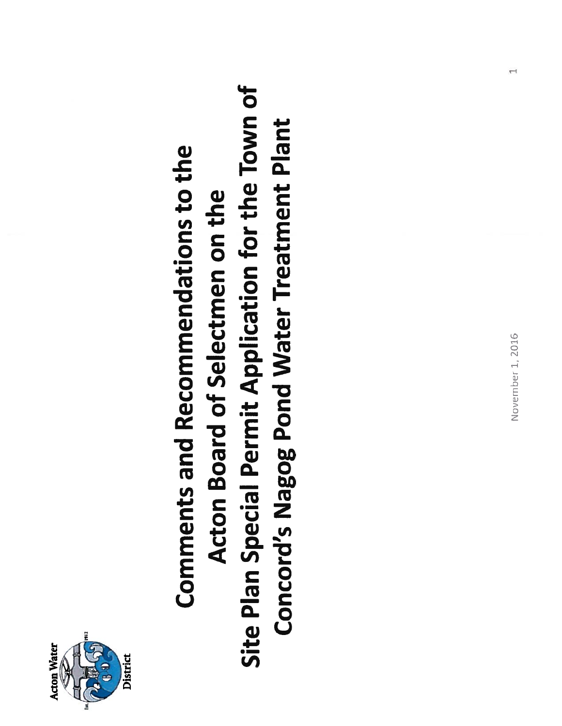

## Site Plan Special Permit Application for the Town of Site Plan Special Permit Application for the Town of **Concord's Nagog Pond Water Treatment Plant** Concord's Nagog Pond Water Treatment Plant **Comments and Recommendations to the** Comments and Recommendations to the Acton Board of Selectmen on the Acton Board of Selectmen on the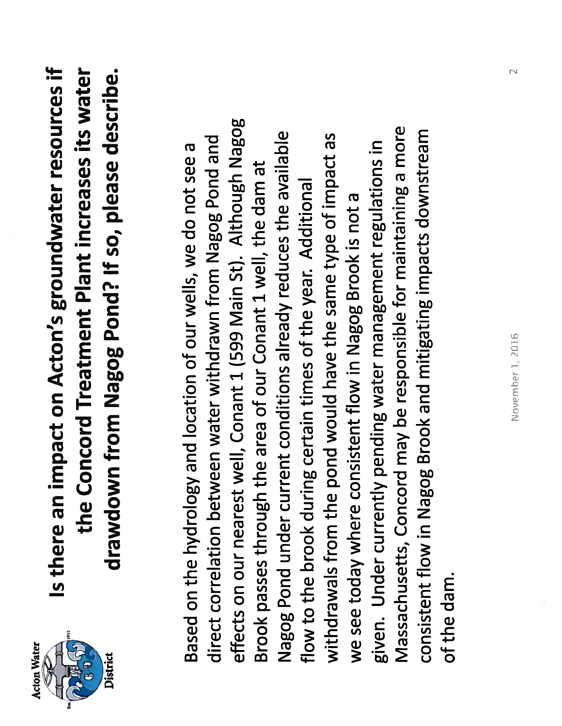

Is there an impact on Acton's groundwater resources if Is there an impact on Acton's groundwater resources if the Concord Treatment Plant increases its water the Concord Treatment Plant increases its water drawdown from Nagog Pond? If so, please describe. drawdown from Nagog Pond? If so, please describe.

effects on our nearest well, Conant 1 (599 Main St). Although Nagog effects on our nearest well, Conant 1 (599 Main St). Although Nagog Massachusetts, Concord may be responsible for maintaining a more Massachusetts, Concord may be responsible for maintaining a more consistent flow in Nagog Brook and mitigating impacts downstream Nagog Pond under current conditions already reduces the available withdrawals from the pond would have the same type of impact as consistent flow in Nagog Brook and mitigating impacts downstream Nagog Pond under current conditions already reduces the available direct correlation between water withdrawn from Nagog Pond and withdrawals from the pond would have the same type of impact as direct correlation between water withdrawn from Nagog Pond and given. Under currently pending water management regulations in Based on the hydrology and location of our wells, we do not see a given. Under currently pending water management regulations in Based on the hydrology and location of our wells, we do not see a Brook passes through the area of our Conant 1 well, the dam at Brook passes through the area of our Conant 1 well, the dam at flow to the brook during certain times of the year. Additional flow to the brook during certain times of the year. Additional we see today where consistent flow in Nagog Brook is not a we see today where consistent flow in Nagog Brook is not a of the dam. of the dam.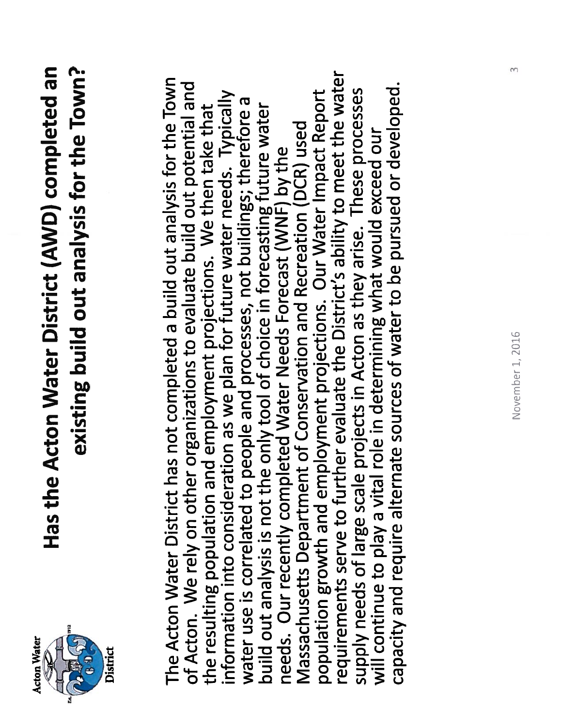

## Has the Acton Water District (AWD) completed an existing build out analysis for the Town? Has the Acton Water District (AWD) completed an existing build out analysis for the Town?

requirements serve to further evaluate the District's ability to meet the water requirements serve to further evaluate the District's ability to meet the water The Acton Water District has not completed a build out analysis for the Town The Acton Water District has not completed a build out analysis for the Town of Acton. We rely on other organizations to evaluate build out potential and capacity and require alternate sources of water to be pursued or developed. of Acton. We rely on other organizations to evaluate build out potential and capacity and require alternate sources of water to be pursued or developed. supply needs of large scale projects in Acton as they arise. These processes the resulting population and employment projections. We then take that<br>information into consideration as we plan for future water needs. Typically population growth and employment projections. Our Water Impact Report population growth and employment projections. Our Water Impact Report supply needs of large scale projects in Acton as they arise. These processes information into consideration as we plan for future water needs. Typically water use is correlated to people and processes, not buildings; therefore a water use is correlated to people and processes, not buildings; therefore a build out analysis is not the only tool of choice in forecasting future water build out analysis is not the only tool of choice in forecasting future water the resulting population and employment projections. We then take that Massachusetts Department of Conservation and Recreation (DCR) used Massachusetts Department of Conservation and Recreation (DCR) used will continue to play a vital role in determining what would exceed our will continue to play a vital role in determining what would exceed our needs. Our recently completed Water Needs Forecast (WNF) by the needs. Our recently completed Water Needs Forecast (WNF) by the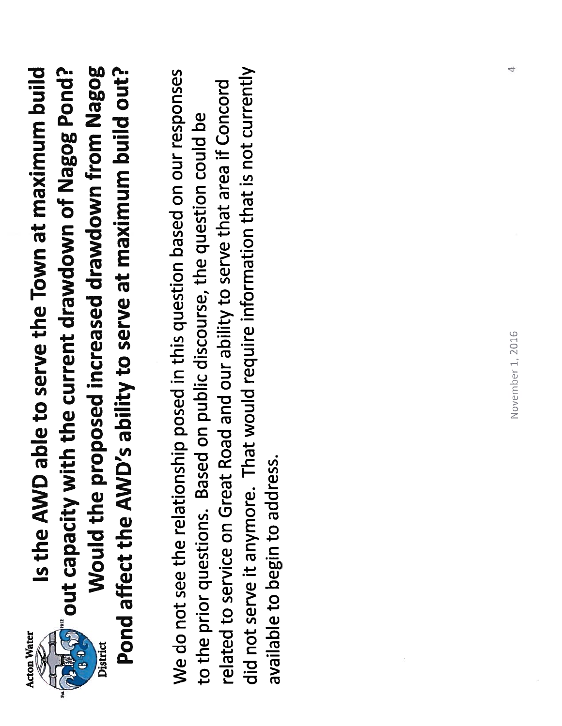

District

Is the AWD able to serve the Town at maximum build े प्राप्ति हैं out capacity with the current drawdown of Nagog Pond?<br>हम्मी out capacity with the current drawdown of Nagog Pond? Would the proposed increased drawdown from Nagog Pond affect the AWD's ability to serve at maximum build out? Is the AWD able to serve the Town at maximum build out capacity with the current drawdown of Nagog Pond? Would the proposed increased drawdown from Nagog affect the AWD's ability to serve at maximum build out?

did not serve it anymore. That would require information that is not currently We do not see the relationship posed in this question based on our responses did not serve it anymore. That would require information that is not currently We do not see the relationship posed in this question based on our responses related to service on Great Road and our ability to serve that area if Concord related to service on Great Road and our ability to serve that area if Concord to the prior questions. Based on public discourse, the question could be to the prior questions. Based on public discourse, the question could be available to begin to address. available to begin to address.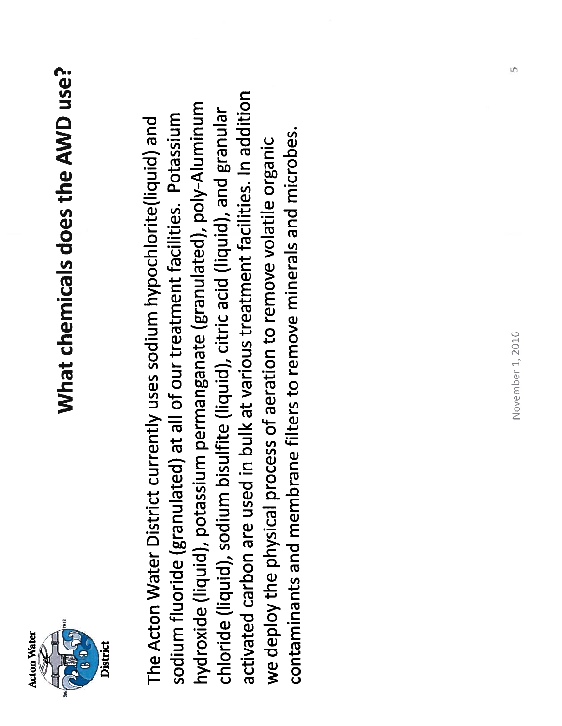

## What chemicals does the AWD use? What chemicals does the AWD use?

activated carbon are used in bulk at various treatment facilities. In addition activated carbon are used in bulk at various treatment facilities. In addition hydroxide (liquid), potassium permanganate (granulated), poly-Aluminum hydroxide (liquid), potassium permanganate (granulated), poly-Aluminum chloride (liquid), sodium bisulfite (liquid), citric acid (liquid), and granular chloride (liquid), sodium bisulfite (liquid), citric acid (liquid), and granular sodium fluoride (granulated) at all of our treatment facilities. Potassium sodium fluoride (granulated) at all of our treatment facilities. Potassium The Acton Water District currently uses sodium hypochlorite(liquid) and The Acton Water District currently uses sodium hypochlorite(liquid) and contaminants and membrane filters to remove minerals and microbes. contaminants and membrane filters to remove minerals and microbes. we deploy the physical process of aeration to remove volatile organic we deploy the physical process of aeration to remove volatile organic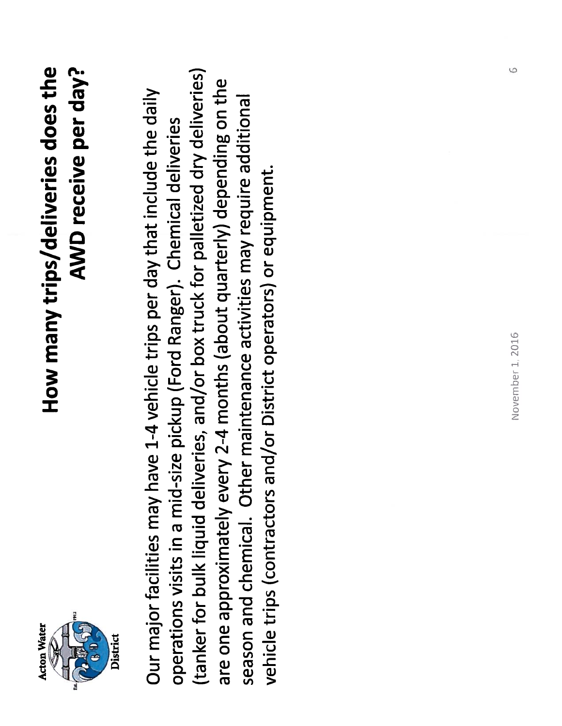

## How many trips/deliveries does the AWD receive per day? AWD receive per day? How many trips/deliveries does the

(tanker for bulk liquid deliveries, and/or box truck for palletized dry deliveries) (tanker for bulk liquid deliveries, and/or box truck for palletized dry deliveries) are one approximately every 2-4 months (about quarterly) depending on the are one approximately every 2-4 months (about quarterly) depending on the Our major facilities may have 1-4 vehicle trips per day that include the daily Our major facilities may have 1-4 vehicle trips per day that include the daily season and chemical. Other maintenance activities may require additional season and chemical. Other maintenance activities may require additional operations visits in a mid-size pickup (Ford Ranger). Chemical deliveries operations visits in a mid-size pickup (Ford Ranger). Chemical deliveries vehicle trips (contractors and/or District operators) or equipment. vehicle trips (contractors and/or District operators) or equipment.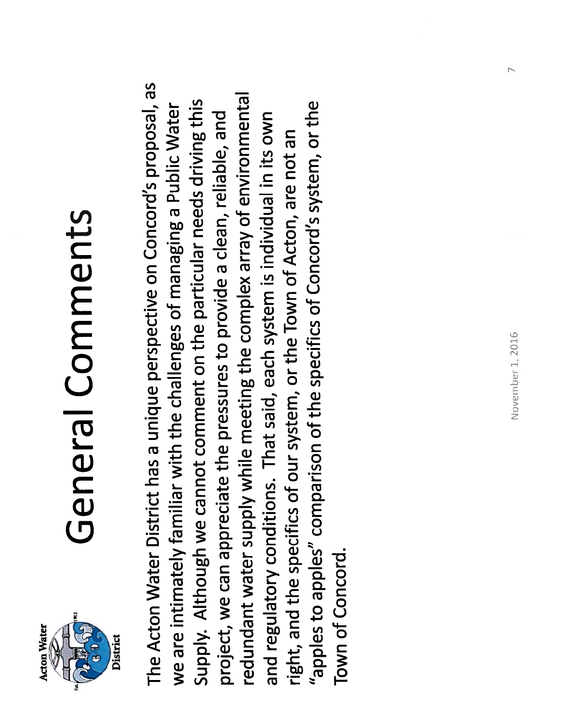

## General Comments General Comments

The Acton Water District has a unique perspective on Concord's proposal, as The Acton Water District has a unique perspective on Concord's proposal, as redundant water supply while meeting the complex array of environmental redundant water supply while meeting the complex array of environmental Supply. Although we cannot comment on the particular needs driving this "apples to apples" comparison of the specifics of Concord's system, or the we are intimately familiar with the challenges of managing a Public Water Supply. Although we cannot comment on the particular needs driving this "apples to apples" comparison of the specifics of Concord's system, or the we are intimately familiar with the challenges of managing a Public Water project, we can appreciate the pressures to provide a clean, reliable, and and regulatory conditions. That said, each system is individual in its own project, we can appreciate the pressures to provide a clean, reliable, and and regulatory conditions. That said, each system is individual in its own right, and the specifics of our system, or the Town of Acton, are not an right, and the specifics of our system, or the Town of Acton, are not an Town of Concord. Town of Concord.

7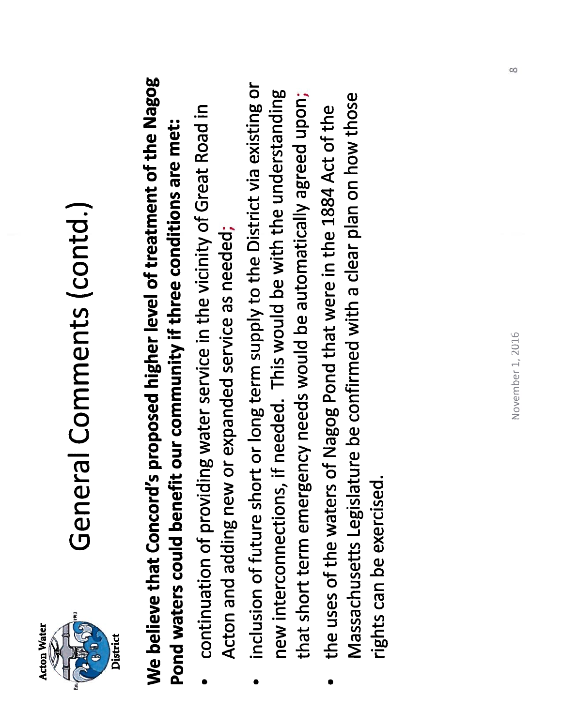

# General Comments (contd.) General Comments (contd.)

## We believe that Concord's proposed higher level of treatment of the Nagog We believe that Concord's proposed higher level of treatment of the Nagog Pond waters could benefit our community if three conditions are met: Pond waters could benefit our community if three conditions are met:

- continuation of providing water service in the vicinity of Great Road in continuation of providing water service in the vicinity of Great Road in Acton and adding new or expanded service as needed; Acton and adding new or expanded service as needed; •
- inclusion of future short or long term supply to the District via existing or inclusion of future short or long term supply to the District via existing or new interconnections, if needed. This would be with the understanding that short term emergency needs would be automatically agreed upon; new interconnections, if needed. This would be with the understanding that short term emergency needs would be automatically agreed upon; •
- Massachusetts Legislature be confirmed with a clear plan on how those Massachusetts Legislature be confirmed with a clear plan on how those the uses of the waters of Nagog Pond that were in the 1884 Act of the the uses of the waters of Nagog Pond that were in the 1884 Act of the rights can be exercised. rights can be exercised. •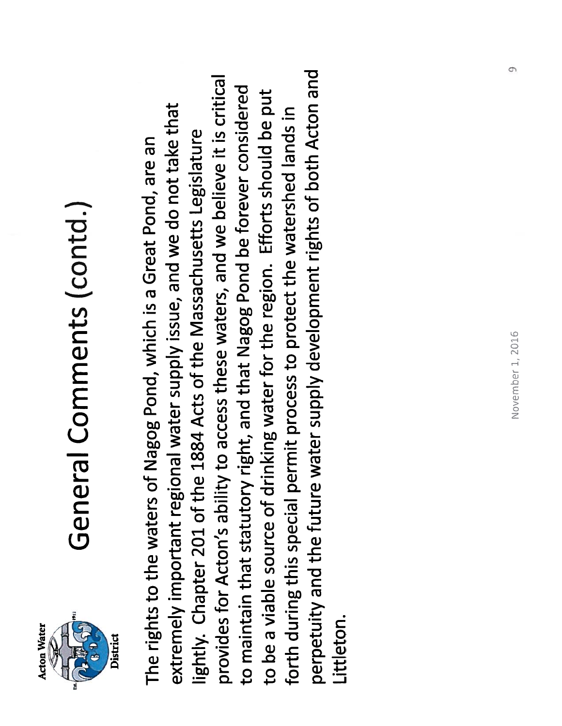

# General Comments (contd.) General Comments (contd.)

perpetuity and the future water supply development rights of both Acton and perpetuity and the future water supply development rights of both Acton and provides for Acton's ability to access these waters, and we believe it is critical provides for Acton's ability to access these waters, and we believe it is critical to maintain that statutory right, and that Nagog Pond be forever considered to maintain that statutory right, and that Nagog Pond be forever considered to be a viable source of drinking water for the region. Efforts should be put to be a viable source of drinking water for the region. Efforts should be put extremely important regional water supply issue, and we do not take that extremely important regional water supply issue, and we do not take that forth during this special permit process to protect the watershed lands in forth during this special permit process to protect the watershed lands in lightly. Chapter 201 of the 1884 Acts of the Massachusetts Legislature lightly. Chapter 201 of the 1884 Acts of the Massachusetts Legislature The rights to the waters of Nagog Pond, which is a Great Pond, are an The rights to the waters of Nagog Pond, which is a Great Pond, are an Littleton. tittleton.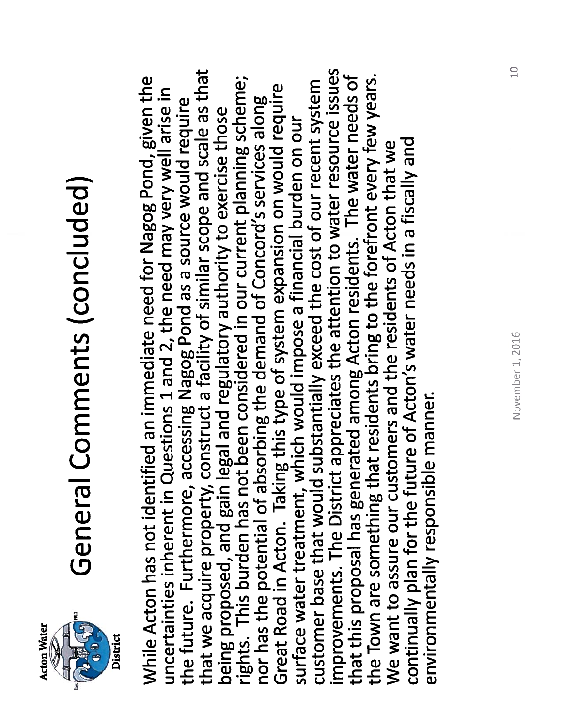

# General Comments (concluded) General Comments (concluded)

the future. Furthermore, accessing Nagog Pond as a source would require<br>that we acquire property, construct a facility of similar scope and scale as that improvements. The District appreciates the attention to water resource issues that we acquire property, construct a facility of similar scope and scale as that improvements. The District appreciates the attention to water resource issues that this proposal has generated among Acton residents. The water needs of that this proposal has generated among Acton residents. The water needs of the Town are something that residents bring to the forefront every few years. While Acton has not identified an immediate need for Nagog Pond, given the rights. This burden has not been considered in our current planning scheme; the Town are something that residents bring to the forefront every few years. While Acton has not identified an immediate need for Nagog Pond, given the rights. This burden has not been considered in our current planning scheme; Great Road in Acton. Taking this type of system expansion on would require customer base that would substantially exceed the cost of our recent system customer base that would substantially exceed the cost of our recent system uncertainties inherent in Questions 1 and 2, the need may very well arise in Great Road in Acton. Taking this type of system expansion on would require uncertainties inherent in Questions 1 and 2, the need may very well arise in nor has the potential of absorbing the demand of Concord's services along nor has the potential of absorbing the demand of Concord's services along the future. Furthermore, accessing Nagog Pond as a source would require being proposed, and gain legal and regulatory authority to exercise those being proposed, and gain legal and regulatory authority to exercise those surface water treatment, which would impose a financial burden on our surface water treatment, which would impose a financial burden on our continually plan for the future of Acton's water needs in a fiscally and We want to assure our customers and the residents of Acton that we continually plan for the future of Acton's water needs in a fiscally and We want to assure our customers and the residents of Acton that we environmentally responsible manner. environmentally responsible manner.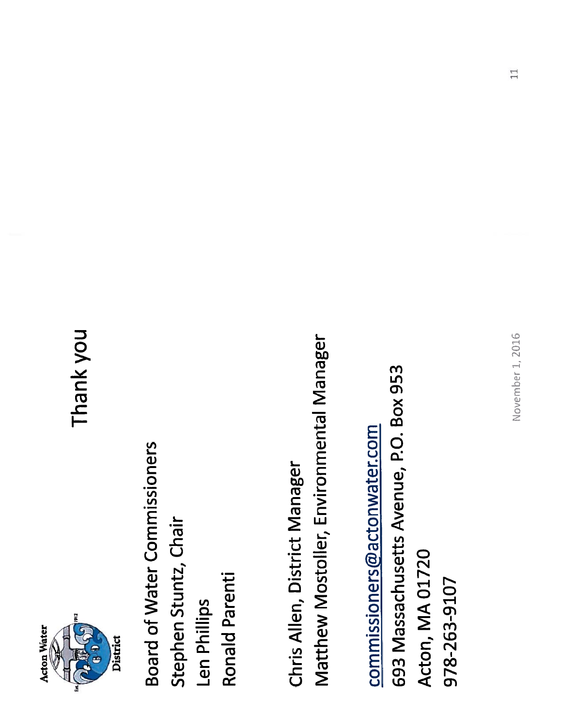

Thank you

**Board of Water Commissioners** Board of Water Commissioners Stephen Stuntz, Chair Stephen Stuntz, Chair Ronald Parenti Ronald Parenti Len Phillips Len Phillips

Matthew Mostoller, Environmental Manager Matthew Mostoller, Environmental Manager Chris Allen, District Manager Chris Allen, District Manager

693 Massachusetts Avenue, P.O. Box 953 693 Massachusetts Avenue, P.O. Box 953 commissioners@actonwater.com commissioners@actonwater.com Acton, MA 01720 Acton, MA 01720 978-263-9107 978-263-9107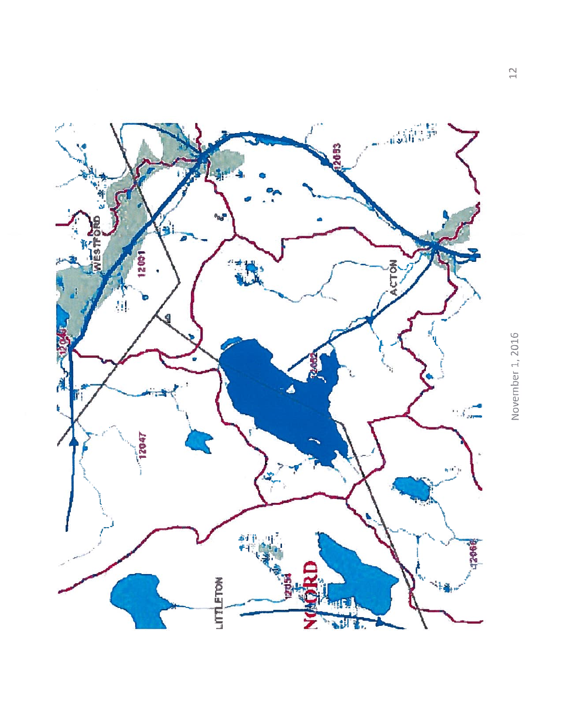